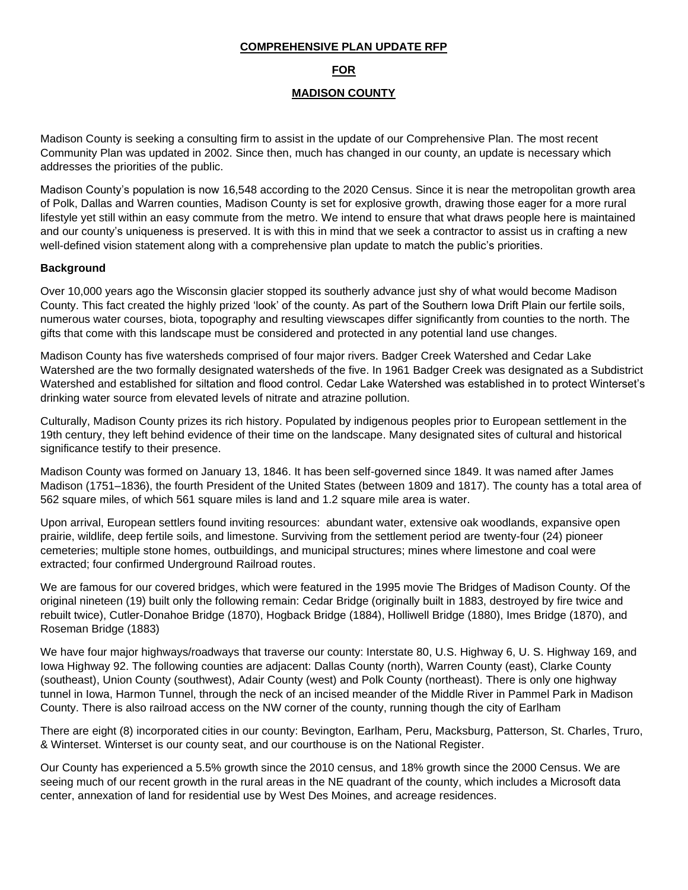### **COMPREHENSIVE PLAN UPDATE RFP**

### **FOR**

### **MADISON COUNTY**

Madison County is seeking a consulting firm to assist in the update of our Comprehensive Plan. The most recent Community Plan was updated in 2002. Since then, much has changed in our county, an update is necessary which addresses the priorities of the public.

Madison County's population is now 16,548 according to the 2020 Census. Since it is near the metropolitan growth area of Polk, Dallas and Warren counties, Madison County is set for explosive growth, drawing those eager for a more rural lifestyle yet still within an easy commute from the metro. We intend to ensure that what draws people here is maintained and our county's uniqueness is preserved. It is with this in mind that we seek a contractor to assist us in crafting a new well-defined vision statement along with a comprehensive plan update to match the public's priorities.

#### **Background**

Over 10,000 years ago the Wisconsin glacier stopped its southerly advance just shy of what would become Madison County. This fact created the highly prized 'look' of the county. As part of the Southern Iowa Drift Plain our fertile soils, numerous water courses, biota, topography and resulting viewscapes differ significantly from counties to the north. The gifts that come with this landscape must be considered and protected in any potential land use changes.

Madison County has five watersheds comprised of four major rivers. Badger Creek Watershed and Cedar Lake Watershed are the two formally designated watersheds of the five. In 1961 Badger Creek was designated as a Subdistrict Watershed and established for siltation and flood control. Cedar Lake Watershed was established in to protect Winterset's drinking water source from elevated levels of nitrate and atrazine pollution.

Culturally, Madison County prizes its rich history. Populated by indigenous peoples prior to European settlement in the 19th century, they left behind evidence of their time on the landscape. Many designated sites of cultural and historical significance testify to their presence.

Madison County was formed on January 13, 1846. It has been self-governed since 1849. It was named after James Madison (1751–1836), the fourth President of the United States (between 1809 and 1817). The county has a total area of 562 square miles, of which 561 square miles is land and 1.2 square mile area is water.

Upon arrival, European settlers found inviting resources: abundant water, extensive oak woodlands, expansive open prairie, wildlife, deep fertile soils, and limestone. Surviving from the settlement period are twenty-four (24) pioneer cemeteries; multiple stone homes, outbuildings, and municipal structures; mines where limestone and coal were extracted; four confirmed Underground Railroad routes.

We are famous for our covered bridges, which were featured in the 1995 movie The Bridges of Madison County. Of the original nineteen (19) built only the following remain: Cedar Bridge (originally built in 1883, destroyed by fire twice and rebuilt twice), Cutler-Donahoe Bridge (1870), Hogback Bridge (1884), Holliwell Bridge (1880), Imes Bridge (1870), and Roseman Bridge (1883)

We have four major highways/roadways that traverse our county: Interstate 80, U.S. Highway 6, U. S. Highway 169, and Iowa Highway 92. The following counties are adjacent: Dallas County (north), Warren County (east), Clarke County (southeast), Union County (southwest), Adair County (west) and Polk County (northeast). There is only one highway tunnel in Iowa, Harmon Tunnel, through the neck of an incised meander of the Middle River in Pammel Park in Madison County. There is also railroad access on the NW corner of the county, running though the city of Earlham

There are eight (8) incorporated cities in our county: Bevington, Earlham, Peru, Macksburg, Patterson, St. Charles, Truro, & Winterset. Winterset is our county seat, and our courthouse is on the National Register.

Our County has experienced a 5.5% growth since the 2010 census, and 18% growth since the 2000 Census. We are seeing much of our recent growth in the rural areas in the NE quadrant of the county, which includes a Microsoft data center, annexation of land for residential use by West Des Moines, and acreage residences.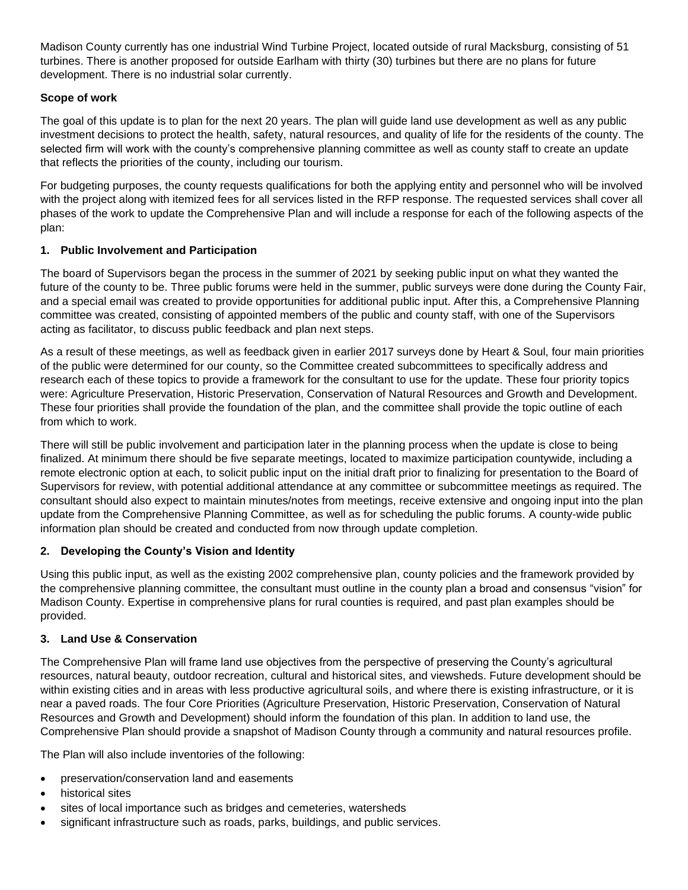Madison County currently has one industrial Wind Turbine Project, located outside of rural Macksburg, consisting of 51 turbines. There is another proposed for outside Earlham with thirty (30) turbines but there are no plans for future development. There is no industrial solar currently.

## **Scope of work**

The goal of this update is to plan for the next 20 years. The plan will guide land use development as well as any public investment decisions to protect the health, safety, natural resources, and quality of life for the residents of the county. The selected firm will work with the county's comprehensive planning committee as well as county staff to create an update that reflects the priorities of the county, including our tourism.

For budgeting purposes, the county requests qualifications for both the applying entity and personnel who will be involved with the project along with itemized fees for all services listed in the RFP response. The requested services shall cover all phases of the work to update the Comprehensive Plan and will include a response for each of the following aspects of the plan:

### **1. Public Involvement and Participation**

The board of Supervisors began the process in the summer of 2021 by seeking public input on what they wanted the future of the county to be. Three public forums were held in the summer, public surveys were done during the County Fair, and a special email was created to provide opportunities for additional public input. After this, a Comprehensive Planning committee was created, consisting of appointed members of the public and county staff, with one of the Supervisors acting as facilitator, to discuss public feedback and plan next steps.

As a result of these meetings, as well as feedback given in earlier 2017 surveys done by Heart & Soul, four main priorities of the public were determined for our county, so the Committee created subcommittees to specifically address and research each of these topics to provide a framework for the consultant to use for the update. These four priority topics were: Agriculture Preservation, Historic Preservation, Conservation of Natural Resources and Growth and Development. These four priorities shall provide the foundation of the plan, and the committee shall provide the topic outline of each from which to work.

There will still be public involvement and participation later in the planning process when the update is close to being finalized. At minimum there should be five separate meetings, located to maximize participation countywide, including a remote electronic option at each, to solicit public input on the initial draft prior to finalizing for presentation to the Board of Supervisors for review, with potential additional attendance at any committee or subcommittee meetings as required. The consultant should also expect to maintain minutes/notes from meetings, receive extensive and ongoing input into the plan update from the Comprehensive Planning Committee, as well as for scheduling the public forums. A county-wide public information plan should be created and conducted from now through update completion.

### **2. Developing the County's Vision and Identity**

Using this public input, as well as the existing 2002 comprehensive plan, county policies and the framework provided by the comprehensive planning committee, the consultant must outline in the county plan a broad and consensus "vision" for Madison County. Expertise in comprehensive plans for rural counties is required, and past plan examples should be provided.

### **3. Land Use & Conservation**

The Comprehensive Plan will frame land use objectives from the perspective of preserving the County's agricultural resources, natural beauty, outdoor recreation, cultural and historical sites, and viewsheds. Future development should be within existing cities and in areas with less productive agricultural soils, and where there is existing infrastructure, or it is near a paved roads. The four Core Priorities (Agriculture Preservation, Historic Preservation, Conservation of Natural Resources and Growth and Development) should inform the foundation of this plan. In addition to land use, the Comprehensive Plan should provide a snapshot of Madison County through a community and natural resources profile.

The Plan will also include inventories of the following:

- preservation/conservation land and easements
- historical sites
- sites of local importance such as bridges and cemeteries, watersheds
- significant infrastructure such as roads, parks, buildings, and public services.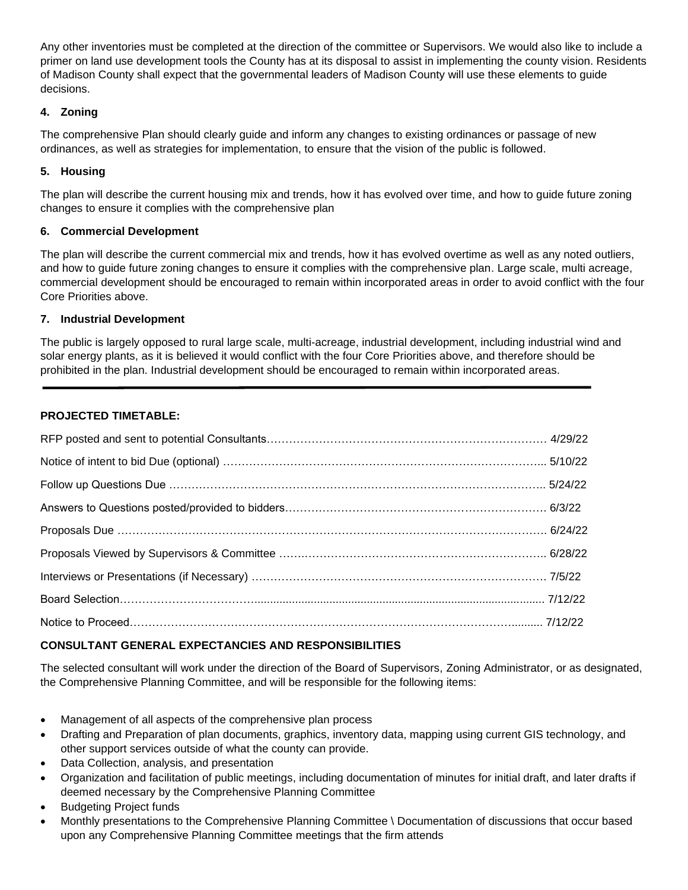Any other inventories must be completed at the direction of the committee or Supervisors. We would also like to include a primer on land use development tools the County has at its disposal to assist in implementing the county vision. Residents of Madison County shall expect that the governmental leaders of Madison County will use these elements to guide decisions.

# **4. Zoning**

The comprehensive Plan should clearly guide and inform any changes to existing ordinances or passage of new ordinances, as well as strategies for implementation, to ensure that the vision of the public is followed.

## **5. Housing**

The plan will describe the current housing mix and trends, how it has evolved over time, and how to guide future zoning changes to ensure it complies with the comprehensive plan

## **6. Commercial Development**

The plan will describe the current commercial mix and trends, how it has evolved overtime as well as any noted outliers, and how to guide future zoning changes to ensure it complies with the comprehensive plan. Large scale, multi acreage, commercial development should be encouraged to remain within incorporated areas in order to avoid conflict with the four Core Priorities above.

### **7. Industrial Development**

The public is largely opposed to rural large scale, multi-acreage, industrial development, including industrial wind and solar energy plants, as it is believed it would conflict with the four Core Priorities above, and therefore should be prohibited in the plan. Industrial development should be encouraged to remain within incorporated areas.

## **PROJECTED TIMETABLE:**

# **CONSULTANT GENERAL EXPECTANCIES AND RESPONSIBILITIES**

The selected consultant will work under the direction of the Board of Supervisors, Zoning Administrator, or as designated, the Comprehensive Planning Committee, and will be responsible for the following items:

- Management of all aspects of the comprehensive plan process
- Drafting and Preparation of plan documents, graphics, inventory data, mapping using current GIS technology, and other support services outside of what the county can provide.
- Data Collection, analysis, and presentation
- Organization and facilitation of public meetings, including documentation of minutes for initial draft, and later drafts if deemed necessary by the Comprehensive Planning Committee
- Budgeting Project funds
- Monthly presentations to the Comprehensive Planning Committee \ Documentation of discussions that occur based upon any Comprehensive Planning Committee meetings that the firm attends